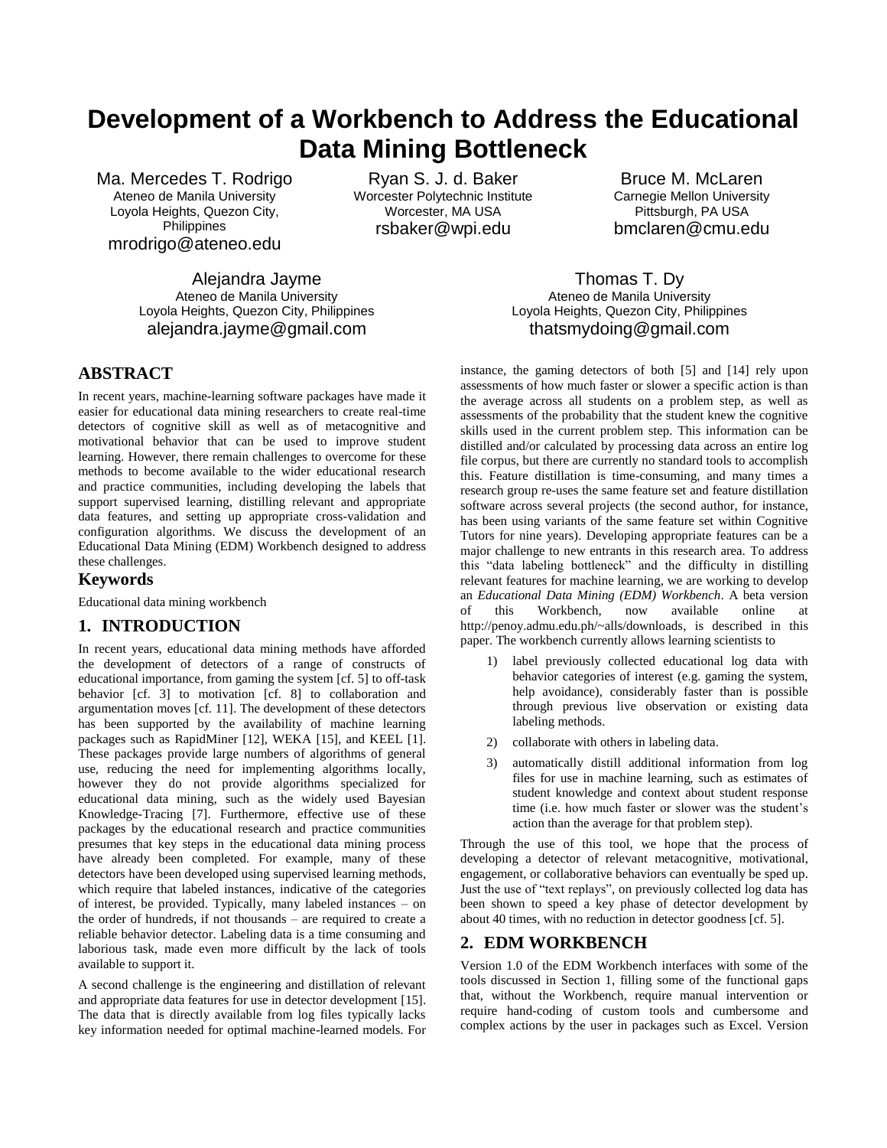# **Development of a Workbench to Address the Educational Data Mining Bottleneck**

Ma. Mercedes T. Rodrigo Ateneo de Manila University Loyola Heights, Quezon City, **Philippines** mrodrigo@ateneo.edu

Ryan S. J. d. Baker Worcester Polytechnic Institute Worcester, MA USA rsbaker@wpi.edu

Bruce M. McLaren Carnegie Mellon University Pittsburgh, PA USA bmclaren@cmu.edu

Alejandra Jayme Ateneo de Manila University Loyola Heights, Quezon City, Philippines alejandra.jayme@gmail.com

Thomas T. Dy Ateneo de Manila University Loyola Heights, Quezon City, Philippines thatsmydoing@gmail.com

# **ABSTRACT**

In recent years, machine-learning software packages have made it easier for educational data mining researchers to create real-time detectors of cognitive skill as well as of metacognitive and motivational behavior that can be used to improve student learning. However, there remain challenges to overcome for these methods to become available to the wider educational research and practice communities, including developing the labels that support supervised learning, distilling relevant and appropriate data features, and setting up appropriate cross-validation and configuration algorithms. We discuss the development of an Educational Data Mining (EDM) Workbench designed to address these challenges.

#### **Keywords**

Educational data mining workbench

#### **1. INTRODUCTION**

In recent years, educational data mining methods have afforded the development of detectors of a range of constructs of educational importance, from gaming the system [cf. 5] to off-task behavior [cf. 3] to motivation [cf. 8] to collaboration and argumentation moves [cf. 11]. The development of these detectors has been supported by the availability of machine learning packages such as RapidMiner [12], WEKA [15], and KEEL [1]. These packages provide large numbers of algorithms of general use, reducing the need for implementing algorithms locally, however they do not provide algorithms specialized for educational data mining, such as the widely used Bayesian Knowledge-Tracing [7]. Furthermore, effective use of these packages by the educational research and practice communities presumes that key steps in the educational data mining process have already been completed. For example, many of these detectors have been developed using supervised learning methods, which require that labeled instances, indicative of the categories of interest, be provided. Typically, many labeled instances – on the order of hundreds, if not thousands – are required to create a reliable behavior detector. Labeling data is a time consuming and laborious task, made even more difficult by the lack of tools available to support it.

A second challenge is the engineering and distillation of relevant and appropriate data features for use in detector development [15]. The data that is directly available from log files typically lacks key information needed for optimal machine-learned models. For

instance, the gaming detectors of both [5] and [14] rely upon assessments of how much faster or slower a specific action is than the average across all students on a problem step, as well as assessments of the probability that the student knew the cognitive skills used in the current problem step. This information can be distilled and/or calculated by processing data across an entire log file corpus, but there are currently no standard tools to accomplish this. Feature distillation is time-consuming, and many times a research group re-uses the same feature set and feature distillation software across several projects (the second author, for instance, has been using variants of the same feature set within Cognitive Tutors for nine years). Developing appropriate features can be a major challenge to new entrants in this research area. To address this "data labeling bottleneck" and the difficulty in distilling relevant features for machine learning, we are working to develop an *Educational Data Mining (EDM) Workbench*. A beta version of this Workbench, now available online at http://penoy.admu.edu.ph/~alls/downloads, is described in this paper. The workbench currently allows learning scientists to

- 1) label previously collected educational log data with behavior categories of interest (e.g. gaming the system, help avoidance), considerably faster than is possible through previous live observation or existing data labeling methods.
- 2) collaborate with others in labeling data.
- 3) automatically distill additional information from log files for use in machine learning, such as estimates of student knowledge and context about student response time (i.e. how much faster or slower was the student's action than the average for that problem step).

Through the use of this tool, we hope that the process of developing a detector of relevant metacognitive, motivational, engagement, or collaborative behaviors can eventually be sped up. Just the use of "text replays", on previously collected log data has been shown to speed a key phase of detector development by about 40 times, with no reduction in detector goodness [cf. 5].

# **2. EDM WORKBENCH**

Version 1.0 of the EDM Workbench interfaces with some of the tools discussed in Section 1, filling some of the functional gaps that, without the Workbench, require manual intervention or require hand-coding of custom tools and cumbersome and complex actions by the user in packages such as Excel. Version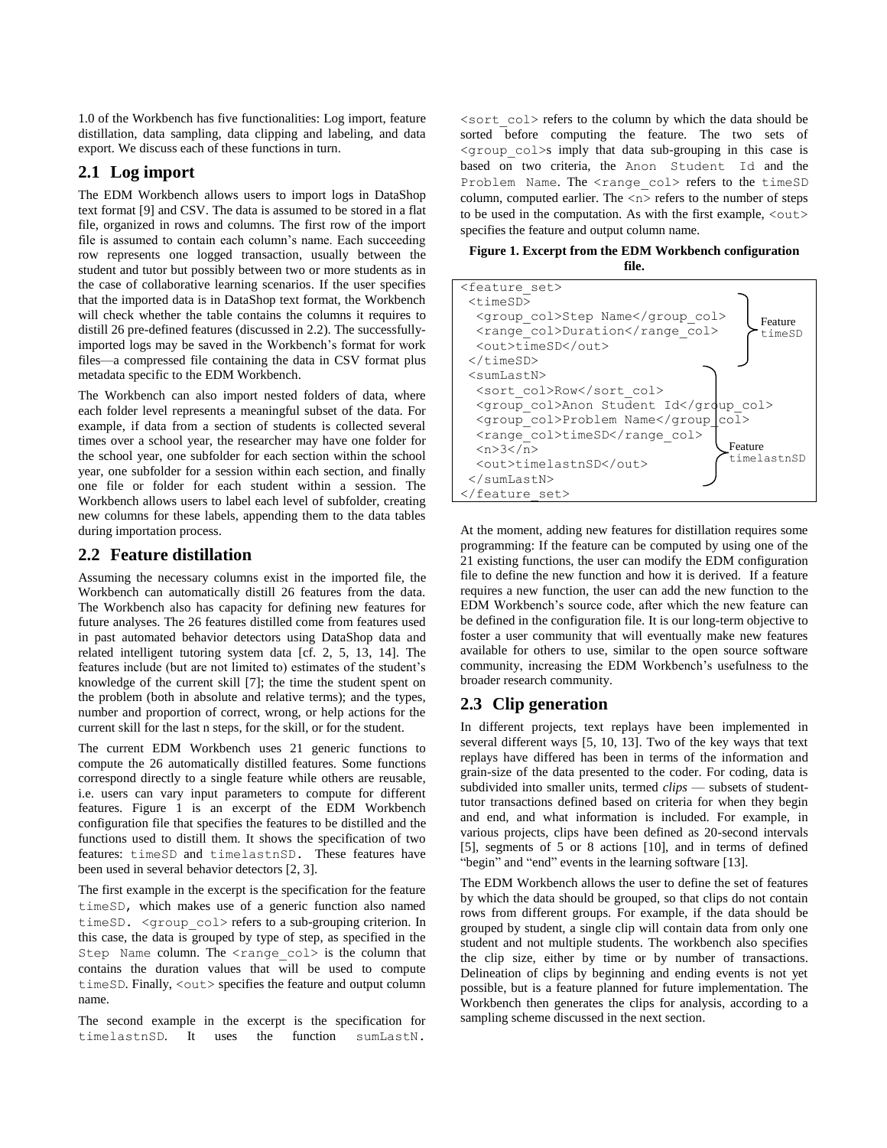1.0 of the Workbench has five functionalities: Log import, feature distillation, data sampling, data clipping and labeling, and data export. We discuss each of these functions in turn.

## **2.1 Log import**

The EDM Workbench allows users to import logs in DataShop text format [9] and CSV. The data is assumed to be stored in a flat file, organized in rows and columns. The first row of the import file is assumed to contain each column's name. Each succeeding row represents one logged transaction, usually between the student and tutor but possibly between two or more students as in the case of collaborative learning scenarios. If the user specifies that the imported data is in DataShop text format, the Workbench will check whether the table contains the columns it requires to distill 26 pre-defined features (discussed in 2.2). The successfullyimported logs may be saved in the Workbench's format for work files—a compressed file containing the data in CSV format plus metadata specific to the EDM Workbench.

The Workbench can also import nested folders of data, where each folder level represents a meaningful subset of the data. For example, if data from a section of students is collected several times over a school year, the researcher may have one folder for the school year, one subfolder for each section within the school year, one subfolder for a session within each section, and finally one file or folder for each student within a session. The Workbench allows users to label each level of subfolder, creating new columns for these labels, appending them to the data tables during importation process.

## **2.2 Feature distillation**

Assuming the necessary columns exist in the imported file, the Workbench can automatically distill 26 features from the data. The Workbench also has capacity for defining new features for future analyses. The 26 features distilled come from features used in past automated behavior detectors using DataShop data and related intelligent tutoring system data [cf. 2, 5, 13, 14]. The features include (but are not limited to) estimates of the student's knowledge of the current skill [7]; the time the student spent on the problem (both in absolute and relative terms); and the types, number and proportion of correct, wrong, or help actions for the current skill for the last n steps, for the skill, or for the student.

The current EDM Workbench uses 21 generic functions to compute the 26 automatically distilled features. Some functions correspond directly to a single feature while others are reusable, i.e. users can vary input parameters to compute for different features. Figure 1 is an excerpt of the EDM Workbench configuration file that specifies the features to be distilled and the functions used to distill them. It shows the specification of two features: timeSD and timelastnSD. These features have been used in several behavior detectors [2, 3].

The first example in the excerpt is the specification for the feature timeSD, which makes use of a generic function also named timeSD. < group col> refers to a sub-grouping criterion. In this case, the data is grouped by type of step, as specified in the Step Name column. The  $\langle$ range col> is the column that contains the duration values that will be used to compute timeSD. Finally,  $\langle \text{out} \rangle$  specifies the feature and output column name.

The second example in the excerpt is the specification for timelastnSD. It uses the function sumLastN.

 $\leq$  sort  $col$  refers to the column by which the data should be sorted before computing the feature. The two sets of <group\_col>s imply that data sub-grouping in this case is based on two criteria, the Anon Student Id and the Problem Name. The <range col> refers to the timeSD column, computed earlier. The  $\langle n \rangle$  refers to the number of steps to be used in the computation. As with the first example,  $\langle \text{out} \rangle$ specifies the feature and output column name.

**Figure 1. Excerpt from the EDM Workbench configuration file.**



At the moment, adding new features for distillation requires some programming: If the feature can be computed by using one of the 21 existing functions, the user can modify the EDM configuration file to define the new function and how it is derived. If a feature requires a new function, the user can add the new function to the EDM Workbench's source code, after which the new feature can be defined in the configuration file. It is our long-term objective to foster a user community that will eventually make new features available for others to use, similar to the open source software community, increasing the EDM Workbench's usefulness to the broader research community.

#### **2.3 Clip generation**

In different projects, text replays have been implemented in several different ways [5, 10, 13]. Two of the key ways that text replays have differed has been in terms of the information and grain-size of the data presented to the coder. For coding, data is subdivided into smaller units, termed *clips* — subsets of studenttutor transactions defined based on criteria for when they begin and end, and what information is included. For example, in various projects, clips have been defined as 20-second intervals [5], segments of 5 or 8 actions [10], and in terms of defined "begin" and "end" events in the learning software [13].

The EDM Workbench allows the user to define the set of features by which the data should be grouped, so that clips do not contain rows from different groups. For example, if the data should be grouped by student, a single clip will contain data from only one student and not multiple students. The workbench also specifies the clip size, either by time or by number of transactions. Delineation of clips by beginning and ending events is not yet possible, but is a feature planned for future implementation. The Workbench then generates the clips for analysis, according to a sampling scheme discussed in the next section.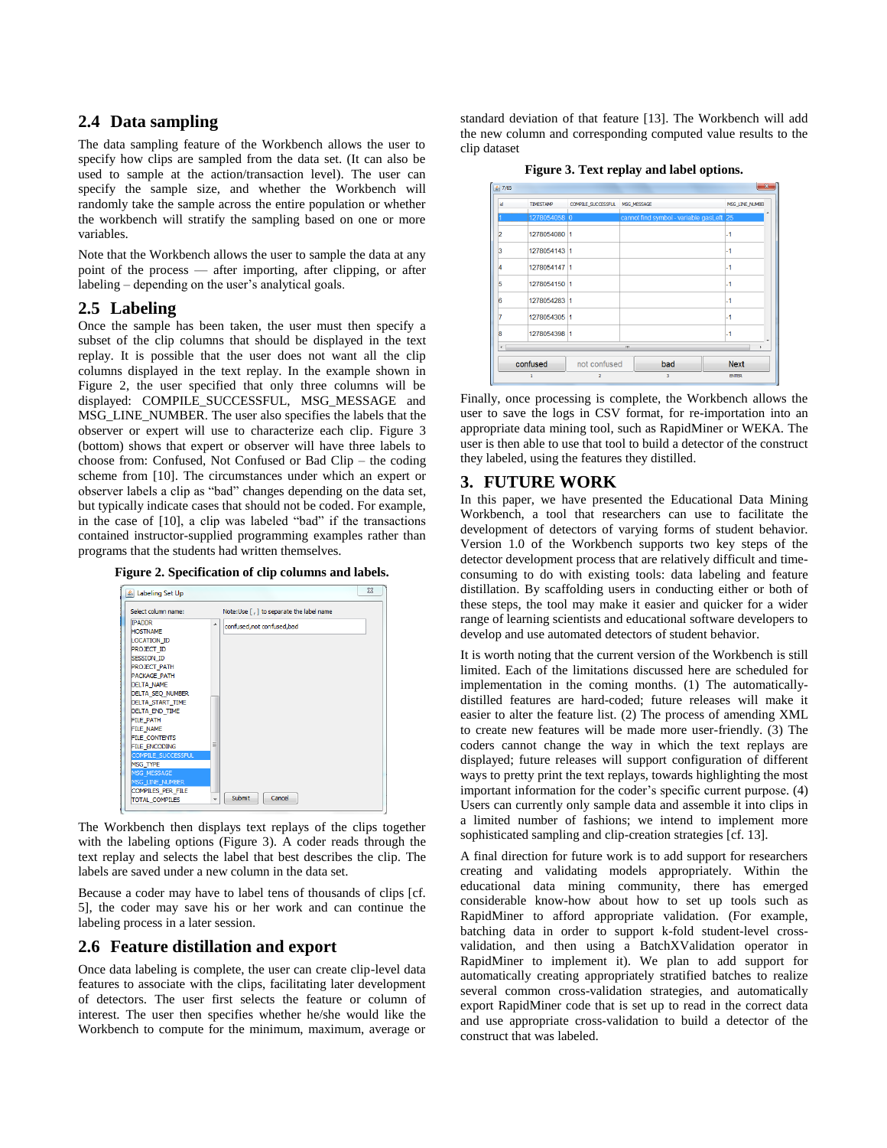### **2.4 Data sampling**

The data sampling feature of the Workbench allows the user to specify how clips are sampled from the data set. (It can also be used to sample at the action/transaction level). The user can specify the sample size, and whether the Workbench will randomly take the sample across the entire population or whether the workbench will stratify the sampling based on one or more variables.

Note that the Workbench allows the user to sample the data at any point of the process — after importing, after clipping, or after labeling – depending on the user's analytical goals.

#### **2.5 Labeling**

Once the sample has been taken, the user must then specify a subset of the clip columns that should be displayed in the text replay. It is possible that the user does not want all the clip columns displayed in the text replay. In the example shown in Figure 2, the user specified that only three columns will be displayed: COMPILE\_SUCCESSFUL, MSG\_MESSAGE and MSG\_LINE\_NUMBER. The user also specifies the labels that the observer or expert will use to characterize each clip. Figure 3 (bottom) shows that expert or observer will have three labels to choose from: Confused, Not Confused or Bad Clip – the coding scheme from [10]. The circumstances under which an expert or observer labels a clip as "bad" changes depending on the data set, but typically indicate cases that should not be coded. For example, in the case of [10], a clip was labeled "bad" if the transactions contained instructor-supplied programming examples rather than programs that the students had written themselves.



| Select column name:                                                                                                                                                                                                                                                                                                                                      | Note:Use [, ] to separate the label name |  |
|----------------------------------------------------------------------------------------------------------------------------------------------------------------------------------------------------------------------------------------------------------------------------------------------------------------------------------------------------------|------------------------------------------|--|
| <b>TPADDR</b><br><b>HOSTNAME</b><br><b>LOCATION ID</b><br>PROJECT ID<br><b>SESSION ID</b><br><b>PROJECT PATH</b><br>PACKAGE PATH<br><b>DELTA NAME</b><br>DELTA_SEQ_NUMBER<br>DELTA_START_TIME<br><b>DELTA END TIME</b><br><b>FILE PATH</b><br>FILE_NAME<br><b>FILE_CONTENTS</b><br><b>FILE ENCODING</b><br>COMPILE SUCCESSFUL<br>MSG_TYPE<br>MSG_MESSAGE | ▴<br>confused, not confused, bad<br>Ξ    |  |
| MSG LINE NUMBER                                                                                                                                                                                                                                                                                                                                          |                                          |  |

The Workbench then displays text replays of the clips together with the labeling options (Figure 3). A coder reads through the text replay and selects the label that best describes the clip. The labels are saved under a new column in the data set.

Because a coder may have to label tens of thousands of clips [cf. 5], the coder may save his or her work and can continue the labeling process in a later session.

## **2.6 Feature distillation and export**

Once data labeling is complete, the user can create clip-level data features to associate with the clips, facilitating later development of detectors. The user first selects the feature or column of interest. The user then specifies whether he/she would like the Workbench to compute for the minimum, maximum, average or

standard deviation of that feature [13]. The Workbench will add the new column and corresponding computed value results to the clip dataset

|  | Figure 3. Text replay and label options. |  |  |
|--|------------------------------------------|--|--|
|--|------------------------------------------|--|--|

| $\frac{4}{3}$ 7/65 |                  |                    |                                          | $\mathbf{x}$    |
|--------------------|------------------|--------------------|------------------------------------------|-----------------|
| id                 | <b>TIMESTAMP</b> | COMPILE SUCCESSFUL | MSG_MESSAGE                              | MSG LINE NUMBER |
|                    | 1278054058 0     |                    | cannot find symbol - variable gasLeft 25 |                 |
| 2                  | 1278054080 1     |                    |                                          | $-1$            |
| 3                  | 1278054143 1     |                    |                                          | $-1$            |
| 4                  | 1278054147 1     |                    |                                          | $-1$            |
| 5                  | 1278054150 1     |                    |                                          | -1              |
| 6                  | 1278054283 1     |                    |                                          | $-1$            |
| 7                  | 1278054305 1     |                    |                                          | $-1$            |
| 8                  | 1278054398 1     |                    |                                          | $-1$            |
| $\leftarrow$       |                  |                    | $\mathbf{m}$                             |                 |
|                    | confused         | not confused       | bad                                      | <b>Next</b>     |
|                    |                  | $\overline{a}$     | 3                                        | <b>ENTER</b>    |

Finally, once processing is complete, the Workbench allows the user to save the logs in CSV format, for re-importation into an appropriate data mining tool, such as RapidMiner or WEKA. The user is then able to use that tool to build a detector of the construct they labeled, using the features they distilled.

## **3. FUTURE WORK**

In this paper, we have presented the Educational Data Mining Workbench, a tool that researchers can use to facilitate the development of detectors of varying forms of student behavior. Version 1.0 of the Workbench supports two key steps of the detector development process that are relatively difficult and timeconsuming to do with existing tools: data labeling and feature distillation. By scaffolding users in conducting either or both of these steps, the tool may make it easier and quicker for a wider range of learning scientists and educational software developers to develop and use automated detectors of student behavior.

It is worth noting that the current version of the Workbench is still limited. Each of the limitations discussed here are scheduled for implementation in the coming months. (1) The automaticallydistilled features are hard-coded; future releases will make it easier to alter the feature list. (2) The process of amending XML to create new features will be made more user-friendly. (3) The coders cannot change the way in which the text replays are displayed; future releases will support configuration of different ways to pretty print the text replays, towards highlighting the most important information for the coder's specific current purpose. (4) Users can currently only sample data and assemble it into clips in a limited number of fashions; we intend to implement more sophisticated sampling and clip-creation strategies [cf. 13].

A final direction for future work is to add support for researchers creating and validating models appropriately. Within the educational data mining community, there has emerged considerable know-how about how to set up tools such as RapidMiner to afford appropriate validation. (For example, batching data in order to support k-fold student-level crossvalidation, and then using a BatchXValidation operator in RapidMiner to implement it). We plan to add support for automatically creating appropriately stratified batches to realize several common cross-validation strategies, and automatically export RapidMiner code that is set up to read in the correct data and use appropriate cross-validation to build a detector of the construct that was labeled.